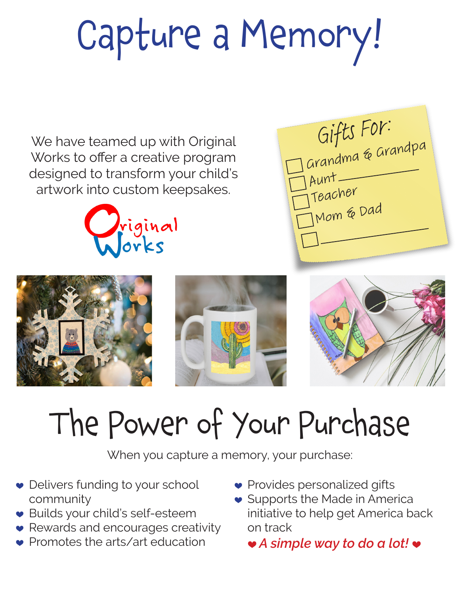## Capture a Memory!

We have teamed up with Original Works to offer a creative program designed to transform your child's artwork into custom keepsakes.







## The Power of Your Purchase

When you capture a memory, your purchase:

- Delivers funding to your school community
- ♥ Builds your child's self-esteem
- Rewards and encourages creativity
- Promotes the arts/art education
- ♥ Provides personalized gifts
- Supports the Made in America initiative to help get America back on track
	- ♥ *A simple way to do a lot!* ♥